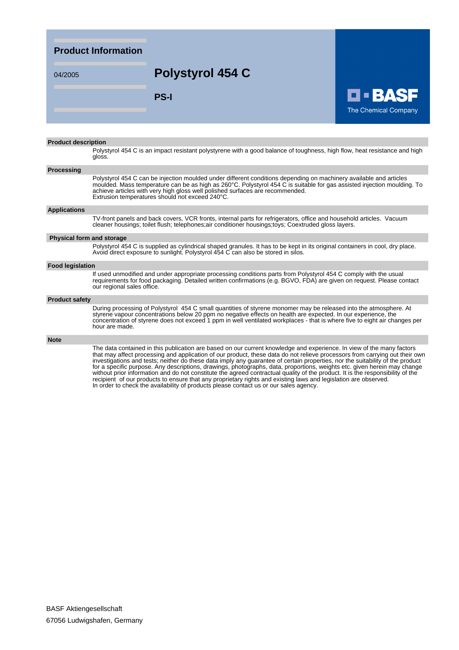### **Product Information**

## 04/2005 **Polystyrol 454 C**

**PS-I**



#### **Product description**

Polystyrol 454 C is an impact resistant polystyrene with a good balance of toughness, high flow, heat resistance and high gloss.

#### **Processing**

Polystyrol 454 C can be injection moulded under different conditions depending on machinery available and articles moulded. Mass temperature can be as high as 260°C. Polystyrol 454 C is suitable for gas assisted injection moulding. To achieve articles with very high gloss well polished surfaces are recommended. Extrusion temperatures should not exceed 240°C.

#### **Applications**

TV-front panels and back covers, VCR fronts, internal parts for refrigerators, office and household articles. Vacuum cleaner housings; toilet flush; telephones;air conditioner housings;toys; Coextruded gloss layers.

#### **Physical form and storage**

Polystyrol 454 C is supplied as cylindrical shaped granules. It has to be kept in its original containers in cool, dry place. Avoid direct exposure to sunlight. Polystyrol 454 C can also be stored in silos.

#### **Food legislation**

If used unmodified and under appropriate processing conditions parts from Polystyrol 454 C comply with the usual requirements for food packaging. Detailed written confirmations (e.g. BGVO, FDA) are given on request. Please contact our regional sales office.

#### **Product safety**

During processing of Polystyrol 454 C small quantities of styrene monomer may be released into the atmosphere. At styrene vapour concentrations below 20 ppm no negative effects on health are expected. In our experience, the concentration of styrene does not exceed 1 ppm in well ventilated workplaces - that is where five to eight air changes per hour are made.

#### **Note**

The data contained in this publication are based on our current knowledge and experience. In view of the many factors that may affect processing and application of our product, these data do not relieve processors from carrying out their own investigations and tests; neither do these data imply any guarantee of certain properties, nor the suitability of the product for a specific purpose. Any descriptions, drawings, photographs, data, proportions, weights etc. given herein may change without prior information and do not constitute the agreed contractual quality of the product. It is the responsibility of the recipient of our products to ensure that any proprietary rights and existing laws and legislation are observed. In order to check the availability of products please contact us or our sales agency.